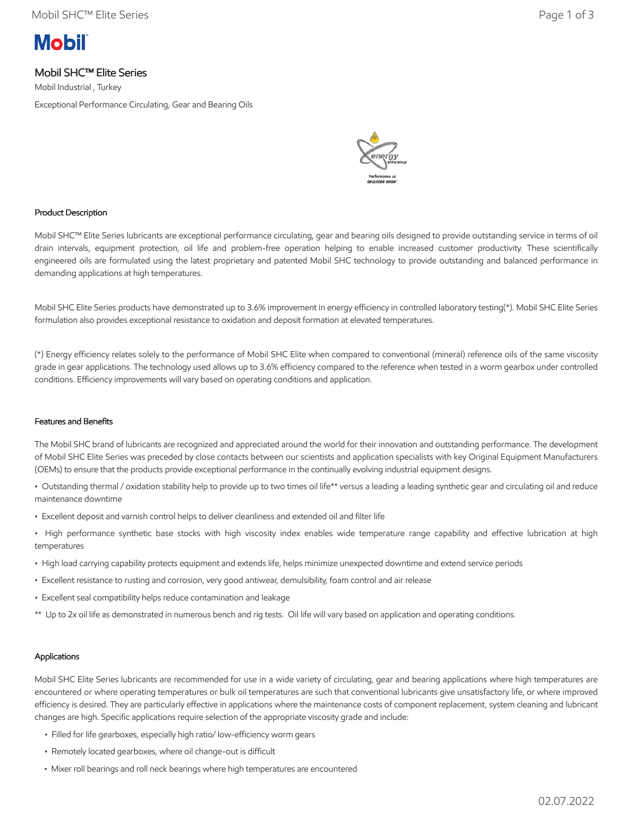# **Mobil**

# Mobil SHC™ Elite Series

Mobil Industrial , Turkey Exceptional Performance Circulating, Gear and Bearing Oils



## Product Description

Mobil SHC™ Elite Series lubricants are exceptional performance circulating, gear and bearing oils designed to provide outstanding service in terms of oil drain intervals, equipment protection, oil life and problem-free operation helping to enable increased customer productivity. These scientifically engineered oils are formulated using the latest proprietary and patented Mobil SHC technology to provide outstanding and balanced performance in demanding applications at high temperatures.

Mobil SHC Elite Series products have demonstrated up to 3.6% improvement in energy efficiency in controlled laboratory testing(\*). Mobil SHC Elite Series formulation also provides exceptional resistance to oxidation and deposit formation at elevated temperatures.

(\*) Energy efficiency relates solely to the performance of Mobil SHC Elite when compared to conventional (mineral) reference oils of the same viscosity grade in gear applications. The technology used allows up to 3.6% efficiency compared to the reference when tested in a worm gearbox under controlled conditions. Efficiency improvements will vary based on operating conditions and application.

#### Features and Benefits

The Mobil SHC brand of lubricants are recognized and appreciated around the world for their innovation and outstanding performance. The development of Mobil SHC Elite Series was preceded by close contacts between our scientists and application specialists with key Original Equipment Manufacturers (OEMs) to ensure that the products provide exceptional performance in the continually evolving industrial equipment designs.

• Outstanding thermal / oxidation stability help to provide up to two times oil life\*\* versus a leading a leading synthetic gear and circulating oil and reduce maintenance downtime

- Excellent deposit and varnish control helps to deliver cleanliness and extended oil and filter life
- High performance synthetic base stocks with high viscosity index enables wide temperature range capability and effective lubrication at high temperatures
- High load carrying capability protects equipment and extends life, helps minimize unexpected downtime and extend service periods
- Excellent resistance to rusting and corrosion, very good antiwear, demulsibility, foam control and air release
- Excellent seal compatibility helps reduce contamination and leakage
- \*\* Up to 2x oil life as demonstrated in numerous bench and rig tests. Oil life will vary based on application and operating conditions.

## Applications

Mobil SHC Elite Series lubricants are recommended for use in a wide variety of circulating, gear and bearing applications where high temperatures are encountered or where operating temperatures or bulk oil temperatures are such that conventional lubricants give unsatisfactory life, or where improved efficiency is desired. They are particularly effective in applications where the maintenance costs of component replacement, system cleaning and lubricant changes are high. Specific applications require selection of the appropriate viscosity grade and include:

- Filled for life gearboxes, especially high ratio/ low-efficiency worm gears
- Remotely located gearboxes, where oil change-out is difficult
- Mixer roll bearings and roll neck bearings where high temperatures are encountered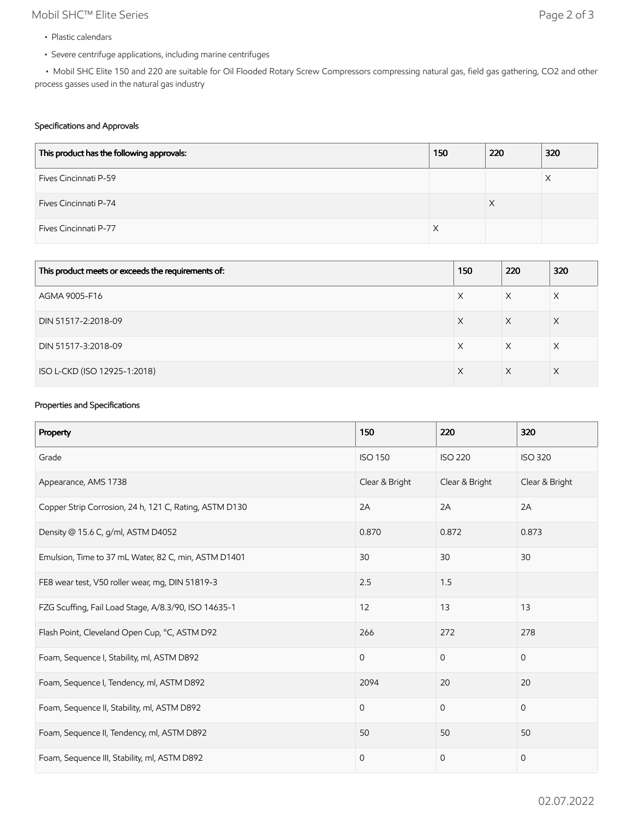# Mobil SHC™ Elite Series Page 2 of 3

- Plastic calendars
- Severe centrifuge applications, including marine centrifuges

 • Mobil SHC Elite 150 and 220 are suitable for Oil Flooded Rotary Screw Compressors compressing natural gas, field gas gathering, CO2 and other process gasses used in the natural gas industry

### Specifications and Approvals

| This product has the following approvals: | 150 | 220 | 320 |
|-------------------------------------------|-----|-----|-----|
| Fives Cincinnati P-59                     |     |     | Х   |
| Fives Cincinnati P-74                     |     | Χ   |     |
| Fives Cincinnati P-77                     |     |     |     |

| This product meets or exceeds the requirements of: | 150 | 220      | 320 |
|----------------------------------------------------|-----|----------|-----|
| AGMA 9005-F16                                      | X   | X        | X   |
| DIN 51517-2:2018-09                                | X   | X        | X   |
| DIN 51517-3:2018-09                                | X   | X        | X   |
| ISO L-CKD (ISO 12925-1:2018)                       | X   | $\times$ | X   |

## Properties and Specifications

| Property                                               | 150            | 220            | 320            |
|--------------------------------------------------------|----------------|----------------|----------------|
| Grade                                                  | <b>ISO 150</b> | <b>ISO 220</b> | <b>ISO 320</b> |
| Appearance, AMS 1738                                   | Clear & Bright | Clear & Bright | Clear & Bright |
| Copper Strip Corrosion, 24 h, 121 C, Rating, ASTM D130 | 2A             | 2A             | 2A             |
| Density @ 15.6 C, g/ml, ASTM D4052                     | 0.870          | 0.872          | 0.873          |
| Emulsion, Time to 37 mL Water, 82 C, min, ASTM D1401   | 30             | 30             | 30             |
| FE8 wear test, V50 roller wear, mg, DIN 51819-3        | 2.5            | 1.5            |                |
| FZG Scuffing, Fail Load Stage, A/8.3/90, ISO 14635-1   | 12             | 13             | 13             |
| Flash Point, Cleveland Open Cup, °C, ASTM D92          | 266            | 272            | 278            |
| Foam, Sequence I, Stability, ml, ASTM D892             | $\mathbf 0$    | $\mathbf 0$    | $\mathbf{0}$   |
| Foam, Sequence I, Tendency, ml, ASTM D892              | 2094           | 20             | 20             |
| Foam, Sequence II, Stability, ml, ASTM D892            | $\mathbf 0$    | $\mathbf{0}$   | $\mathbf{0}$   |
| Foam, Sequence II, Tendency, ml, ASTM D892             | 50             | 50             | 50             |
| Foam, Sequence III, Stability, ml, ASTM D892           | $\mathbf 0$    | $\mathbf{0}$   | $\mathbf 0$    |